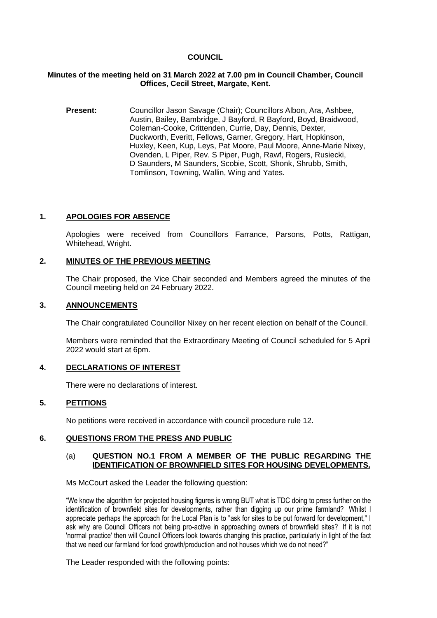## **COUNCIL**

## **Minutes of the meeting held on 31 March 2022 at 7.00 pm in Council Chamber, Council Offices, Cecil Street, Margate, Kent.**

**Present:** Councillor Jason Savage (Chair); Councillors Albon, Ara, Ashbee, Austin, Bailey, Bambridge, J Bayford, R Bayford, Boyd, Braidwood, Coleman-Cooke, Crittenden, Currie, Day, Dennis, Dexter, Duckworth, Everitt, Fellows, Garner, Gregory, Hart, Hopkinson, Huxley, Keen, Kup, Leys, Pat Moore, Paul Moore, Anne-Marie Nixey, Ovenden, L Piper, Rev. S Piper, Pugh, Rawf, Rogers, Rusiecki, D Saunders, M Saunders, Scobie, Scott, Shonk, Shrubb, Smith, Tomlinson, Towning, Wallin, Wing and Yates.

# **1. APOLOGIES FOR ABSENCE**

Apologies were received from Councillors Farrance, Parsons, Potts, Rattigan, Whitehead, Wright.

# **2. MINUTES OF THE PREVIOUS MEETING**

The Chair proposed, the Vice Chair seconded and Members agreed the minutes of the Council meeting held on 24 February 2022.

#### **3. ANNOUNCEMENTS**

The Chair congratulated Councillor Nixey on her recent election on behalf of the Council.

Members were reminded that the Extraordinary Meeting of Council scheduled for 5 April 2022 would start at 6pm.

## **4. DECLARATIONS OF INTEREST**

There were no declarations of interest.

## **5. PETITIONS**

No petitions were received in accordance with council procedure rule 12.

#### **6. QUESTIONS FROM THE PRESS AND PUBLIC**

#### (a) **QUESTION NO.1 FROM A MEMBER OF THE PUBLIC REGARDING THE IDENTIFICATION OF BROWNFIELD SITES FOR HOUSING DEVELOPMENTS.**

Ms McCourt asked the Leader the following question:

"We know the algorithm for projected housing figures is wrong BUT what is TDC doing to press further on the identification of brownfield sites for developments, rather than digging up our prime farmland? Whilst I appreciate perhaps the approach for the Local Plan is to "ask for sites to be put forward for development," I ask why are Council Officers not being pro-active in approaching owners of brownfield sites? If it is not 'normal practice' then will Council Officers look towards changing this practice, particularly in light of the fact that we need our farmland for food growth/production and not houses which we do not need?"

The Leader responded with the following points: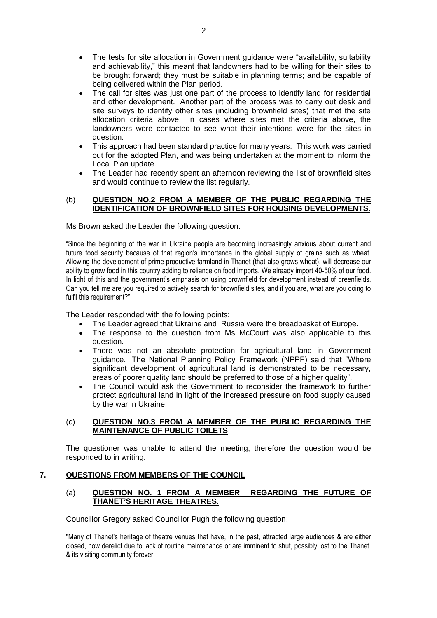- The tests for site allocation in Government guidance were "availability, suitability and achievability," this meant that landowners had to be willing for their sites to be brought forward; they must be suitable in planning terms; and be capable of being delivered within the Plan period.
- The call for sites was just one part of the process to identify land for residential and other development. Another part of the process was to carry out desk and site surveys to identify other sites (including brownfield sites) that met the site allocation criteria above. In cases where sites met the criteria above, the landowners were contacted to see what their intentions were for the sites in question.
- This approach had been standard practice for many years. This work was carried out for the adopted Plan, and was being undertaken at the moment to inform the Local Plan update.
- The Leader had recently spent an afternoon reviewing the list of brownfield sites and would continue to review the list regularly.

# (b) **QUESTION NO.2 FROM A MEMBER OF THE PUBLIC REGARDING THE IDENTIFICATION OF BROWNFIELD SITES FOR HOUSING DEVELOPMENTS.**

Ms Brown asked the Leader the following question:

"Since the beginning of the war in Ukraine people are becoming increasingly anxious about current and future food security because of that region's importance in the global supply of grains such as wheat. Allowing the development of prime productive farmland in Thanet (that also grows wheat), will decrease our ability to grow food in this country adding to reliance on food imports. We already import 40-50% of our food. In light of this and the government's emphasis on using brownfield for development instead of greenfields. Can you tell me are you required to actively search for brownfield sites, and if you are, what are you doing to fulfil this requirement?"

The Leader responded with the following points:

- The Leader agreed that Ukraine and Russia were the breadbasket of Europe.
- The response to the question from Ms McCourt was also applicable to this question.
- There was not an absolute protection for agricultural land in Government guidance. The National Planning Policy Framework (NPPF) said that "Where significant development of agricultural land is demonstrated to be necessary, areas of poorer quality land should be preferred to those of a higher quality".
- The Council would ask the Government to reconsider the framework to further protect agricultural land in light of the increased pressure on food supply caused by the war in Ukraine.

## (c) **QUESTION NO.3 FROM A MEMBER OF THE PUBLIC REGARDING THE MAINTENANCE OF PUBLIC TOILETS**

The questioner was unable to attend the meeting, therefore the question would be responded to in writing.

## **7. QUESTIONS FROM MEMBERS OF THE COUNCIL**

## (a) **QUESTION NO. 1 FROM A MEMBER REGARDING THE FUTURE OF THANET'S HERITAGE THEATRES.**

Councillor Gregory asked Councillor Pugh the following question:

"Many of Thanet's heritage of theatre venues that have, in the past, attracted large audiences & are either closed, now derelict due to lack of routine maintenance or are imminent to shut, possibly lost to the Thanet & its visiting community forever.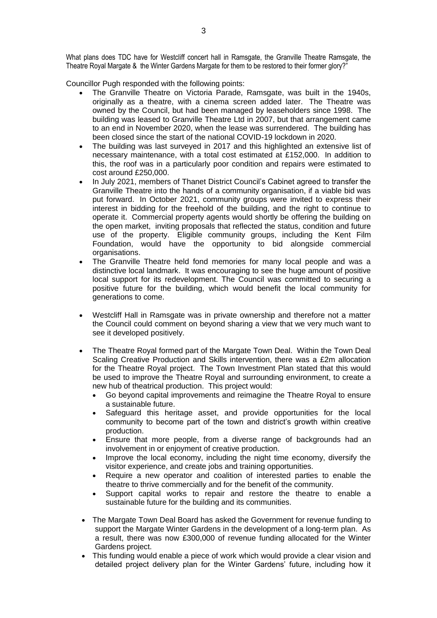What plans does TDC have for Westcliff concert hall in Ramsgate, the Granville Theatre Ramsgate, the Theatre Royal Margate & the Winter Gardens Margate for them to be restored to their former glory?"

Councillor Pugh responded with the following points:

- The Granville Theatre on Victoria Parade, Ramsgate, was built in the 1940s, originally as a theatre, with a cinema screen added later. The Theatre was owned by the Council, but had been managed by leaseholders since 1998. The building was leased to Granville Theatre Ltd in 2007, but that arrangement came to an end in November 2020, when the lease was surrendered. The building has been closed since the start of the national COVID-19 lockdown in 2020.
- The building was last surveyed in 2017 and this highlighted an extensive list of necessary maintenance, with a total cost estimated at £152,000. In addition to this, the roof was in a particularly poor condition and repairs were estimated to cost around £250,000.
- In July 2021, members of Thanet District Council's Cabinet agreed to transfer the Granville Theatre into the hands of a community organisation, if a viable bid was put forward. In October 2021, community groups were invited to express their interest in bidding for the freehold of the building, and the right to continue to operate it. Commercial property agents would shortly be offering the building on the open market, inviting proposals that reflected the status, condition and future use of the property. Eligible community groups, including the Kent Film Foundation, would have the opportunity to bid alongside commercial organisations.
- The Granville Theatre held fond memories for many local people and was a distinctive local landmark. It was encouraging to see the huge amount of positive local support for its redevelopment. The Council was committed to securing a positive future for the building, which would benefit the local community for generations to come.
- Westcliff Hall in Ramsgate was in private ownership and therefore not a matter the Council could comment on beyond sharing a view that we very much want to see it developed positively.
- The Theatre Royal formed part of the Margate Town Deal. Within the Town Deal Scaling Creative Production and Skills intervention, there was a £2m allocation for the Theatre Royal project. The Town Investment Plan stated that this would be used to improve the Theatre Royal and surrounding environment, to create a new hub of theatrical production. This project would:
	- Go beyond capital improvements and reimagine the Theatre Royal to ensure a sustainable future.
	- Safeguard this heritage asset, and provide opportunities for the local community to become part of the town and district's growth within creative production.
	- Ensure that more people, from a diverse range of backgrounds had an involvement in or enjoyment of creative production.
	- Improve the local economy, including the night time economy, diversify the visitor experience, and create jobs and training opportunities.
	- Require a new operator and coalition of interested parties to enable the theatre to thrive commercially and for the benefit of the community.
	- Support capital works to repair and restore the theatre to enable a sustainable future for the building and its communities.
- The Margate Town Deal Board has asked the Government for revenue funding to support the Margate Winter Gardens in the development of a long-term plan. As a result, there was now £300,000 of revenue funding allocated for the Winter Gardens project.
- This funding would enable a piece of work which would provide a clear vision and detailed project delivery plan for the Winter Gardens' future, including how it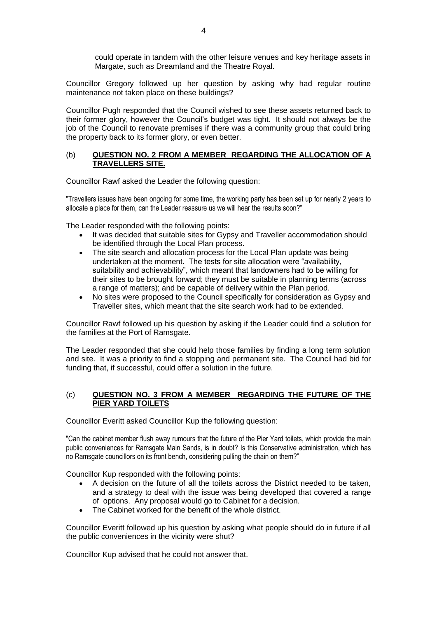could operate in tandem with the other leisure venues and key heritage assets in Margate, such as Dreamland and the Theatre Royal.

Councillor Gregory followed up her question by asking why had regular routine maintenance not taken place on these buildings?

Councillor Pugh responded that the Council wished to see these assets returned back to their former glory, however the Council's budget was tight. It should not always be the job of the Council to renovate premises if there was a community group that could bring the property back to its former glory, or even better.

#### (b) **QUESTION NO. 2 FROM A MEMBER REGARDING THE ALLOCATION OF A TRAVELLERS SITE.**

Councillor Rawf asked the Leader the following question:

"Travellers issues have been ongoing for some time, the working party has been set up for nearly 2 years to allocate a place for them, can the Leader reassure us we will hear the results soon?"

The Leader responded with the following points:

- It was decided that suitable sites for Gypsy and Traveller accommodation should be identified through the Local Plan process.
- The site search and allocation process for the Local Plan update was being undertaken at the moment. The tests for site allocation were "availability, suitability and achievability", which meant that landowners had to be willing for their sites to be brought forward; they must be suitable in planning terms (across a range of matters); and be capable of delivery within the Plan period.
- No sites were proposed to the Council specifically for consideration as Gypsy and Traveller sites, which meant that the site search work had to be extended.

Councillor Rawf followed up his question by asking if the Leader could find a solution for the families at the Port of Ramsgate.

The Leader responded that she could help those families by finding a long term solution and site. It was a priority to find a stopping and permanent site. The Council had bid for funding that, if successful, could offer a solution in the future.

# (c) **QUESTION NO. 3 FROM A MEMBER REGARDING THE FUTURE OF THE PIER YARD TOILETS**

Councillor Everitt asked Councillor Kup the following question:

"Can the cabinet member flush away rumours that the future of the Pier Yard toilets, which provide the main public conveniences for Ramsgate Main Sands, is in doubt? Is this Conservative administration, which has no Ramsgate councillors on its front bench, considering pulling the chain on them?"

Councillor Kup responded with the following points:

- A decision on the future of all the toilets across the District needed to be taken, and a strategy to deal with the issue was being developed that covered a range of options. Any proposal would go to Cabinet for a decision.
- The Cabinet worked for the benefit of the whole district.

Councillor Everitt followed up his question by asking what people should do in future if all the public conveniences in the vicinity were shut?

Councillor Kup advised that he could not answer that.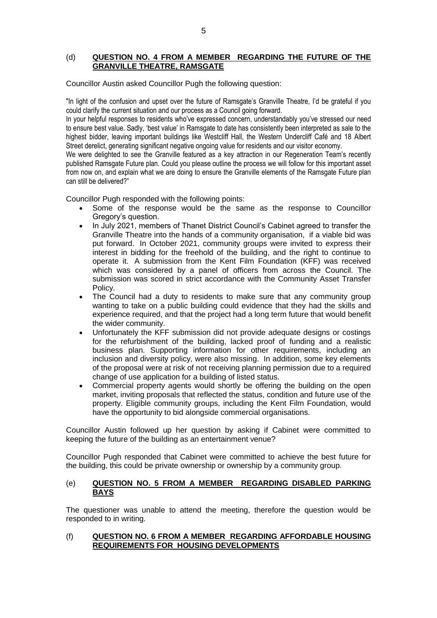#### (d) **QUESTION NO. 4 FROM A MEMBER REGARDING THE FUTURE OF THE GRANVILLE THEATRE, RAMSGATE**

Councillor Austin asked Councillor Pugh the following question:

"In light of the confusion and upset over the future of Ramsgate's Granville Theatre, I'd be grateful if you could clarify the current situation and our process as a Council going forward.

In your helpful responses to residents who've expressed concern, understandably you've stressed our need to ensure best value. Sadly, 'best value' in Ramsgate to date has consistently been interpreted as sale to the highest bidder, leaving important buildings like Westcliff Hall, the Western Undercliff Café and 18 Albert Street derelict, generating significant negative ongoing value for residents and our visitor economy.

We were delighted to see the Granville featured as a key attraction in our Regeneration Team's recently published Ramsgate Future plan. Could you please outline the process we will follow for this important asset from now on, and explain what we are doing to ensure the Granville elements of the Ramsgate Future plan can still be delivered?"

Councillor Pugh responded with the following points:

- Some of the response would be the same as the response to Councillor Gregory's question.
- In July 2021, members of Thanet District Council's Cabinet agreed to transfer the Granville Theatre into the hands of a community organisation, if a viable bid was put forward. In October 2021, community groups were invited to express their interest in bidding for the freehold of the building, and the right to continue to operate it. A submission from the Kent Film Foundation (KFF) was received which was considered by a panel of officers from across the Council. The submission was scored in strict accordance with the Community Asset Transfer Policy.
- The Council had a duty to residents to make sure that any community group wanting to take on a public building could evidence that they had the skills and experience required, and that the project had a long term future that would benefit the wider community.
- Unfortunately the KFF submission did not provide adequate designs or costings for the refurbishment of the building, lacked proof of funding and a realistic business plan. Supporting information for other requirements, including an inclusion and diversity policy, were also missing. In addition, some key elements of the proposal were at risk of not receiving planning permission due to a required change of use application for a building of listed status.
- Commercial property agents would shortly be offering the building on the open market, inviting proposals that reflected the status, condition and future use of the property. Eligible community groups, including the Kent Film Foundation, would have the opportunity to bid alongside commercial organisations.

Councillor Austin followed up her question by asking if Cabinet were committed to keeping the future of the building as an entertainment venue?

Councillor Pugh responded that Cabinet were committed to achieve the best future for the building, this could be private ownership or ownership by a community group.

## (e) **QUESTION NO. 5 FROM A MEMBER REGARDING DISABLED PARKING BAYS**

The questioner was unable to attend the meeting, therefore the question would be responded to in writing.

## (f) **QUESTION NO. 6 FROM A MEMBER REGARDING AFFORDABLE HOUSING REQUIREMENTS FOR HOUSING DEVELOPMENTS**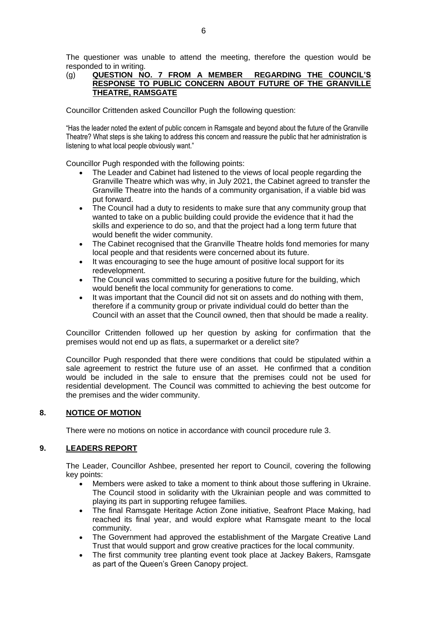The questioner was unable to attend the meeting, therefore the question would be responded to in writing.

## (g) **QUESTION NO. 7 FROM A MEMBER REGARDING THE COUNCIL'S RESPONSE TO PUBLIC CONCERN ABOUT FUTURE OF THE GRANVILLE THEATRE, RAMSGATE**

Councillor Crittenden asked Councillor Pugh the following question:

"Has the leader noted the extent of public concern in Ramsgate and beyond about the future of the Granville Theatre? What steps is she taking to address this concern and reassure the public that her administration is listening to what local people obviously want."

Councillor Pugh responded with the following points:

- The Leader and Cabinet had listened to the views of local people regarding the Granville Theatre which was why, in July 2021, the Cabinet agreed to transfer the Granville Theatre into the hands of a community organisation, if a viable bid was put forward.
- The Council had a duty to residents to make sure that any community group that wanted to take on a public building could provide the evidence that it had the skills and experience to do so, and that the project had a long term future that would benefit the wider community.
- The Cabinet recognised that the Granville Theatre holds fond memories for many local people and that residents were concerned about its future.
- It was encouraging to see the huge amount of positive local support for its redevelopment.
- The Council was committed to securing a positive future for the building, which would benefit the local community for generations to come.
- It was important that the Council did not sit on assets and do nothing with them, therefore if a community group or private individual could do better than the Council with an asset that the Council owned, then that should be made a reality.

Councillor Crittenden followed up her question by asking for confirmation that the premises would not end up as flats, a supermarket or a derelict site?

Councillor Pugh responded that there were conditions that could be stipulated within a sale agreement to restrict the future use of an asset. He confirmed that a condition would be included in the sale to ensure that the premises could not be used for residential development. The Council was committed to achieving the best outcome for the premises and the wider community.

## **8. NOTICE OF MOTION**

There were no motions on notice in accordance with council procedure rule 3.

## **9. LEADERS REPORT**

The Leader, Councillor Ashbee, presented her report to Council, covering the following key points:

- Members were asked to take a moment to think about those suffering in Ukraine. The Council stood in solidarity with the Ukrainian people and was committed to playing its part in supporting refugee families.
- The final Ramsgate Heritage Action Zone initiative, Seafront Place Making, had reached its final year, and would explore what Ramsgate meant to the local community.
- The Government had approved the establishment of the Margate Creative Land Trust that would support and grow creative practices for the local community.
- The first community tree planting event took place at Jackey Bakers, Ramsgate as part of the Queen's Green Canopy project.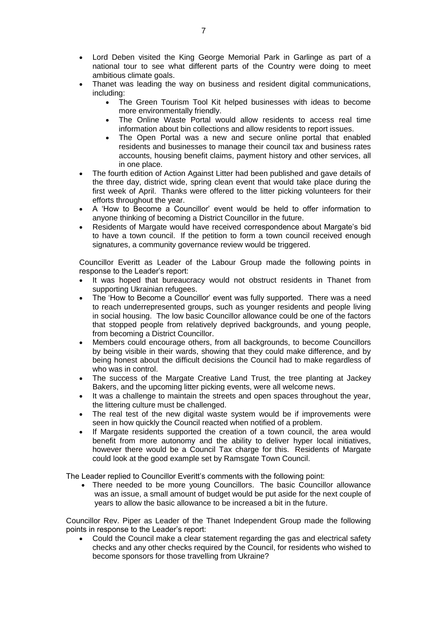- Lord Deben visited the King George Memorial Park in Garlinge as part of a national tour to see what different parts of the Country were doing to meet ambitious climate goals.
- Thanet was leading the way on business and resident digital communications, including:
	- The Green Tourism Tool Kit helped businesses with ideas to become more environmentally friendly.
	- The Online Waste Portal would allow residents to access real time information about bin collections and allow residents to report issues.
	- The Open Portal was a new and secure online portal that enabled residents and businesses to manage their council tax and business rates accounts, housing benefit claims, payment history and other services, all in one place.
- The fourth edition of Action Against Litter had been published and gave details of the three day, district wide, spring clean event that would take place during the first week of April. Thanks were offered to the litter picking volunteers for their efforts throughout the year.
- A 'How to Become a Councillor' event would be held to offer information to anyone thinking of becoming a District Councillor in the future.
- Residents of Margate would have received correspondence about Margate's bid to have a town council. If the petition to form a town council received enough signatures, a community governance review would be triggered.

Councillor Everitt as Leader of the Labour Group made the following points in response to the Leader's report:

- It was hoped that bureaucracy would not obstruct residents in Thanet from supporting Ukrainian refugees.
- The 'How to Become a Councillor' event was fully supported. There was a need to reach underrepresented groups, such as younger residents and people living in social housing. The low basic Councillor allowance could be one of the factors that stopped people from relatively deprived backgrounds, and young people, from becoming a District Councillor.
- Members could encourage others, from all backgrounds, to become Councillors by being visible in their wards, showing that they could make difference, and by being honest about the difficult decisions the Council had to make regardless of who was in control.
- The success of the Margate Creative Land Trust, the tree planting at Jackey Bakers, and the upcoming litter picking events, were all welcome news.
- It was a challenge to maintain the streets and open spaces throughout the year, the littering culture must be challenged.
- The real test of the new digital waste system would be if improvements were seen in how quickly the Council reacted when notified of a problem.
- If Margate residents supported the creation of a town council, the area would benefit from more autonomy and the ability to deliver hyper local initiatives, however there would be a Council Tax charge for this. Residents of Margate could look at the good example set by Ramsgate Town Council.

The Leader replied to Councillor Everitt's comments with the following point:

 There needed to be more young Councillors. The basic Councillor allowance was an issue, a small amount of budget would be put aside for the next couple of years to allow the basic allowance to be increased a bit in the future.

Councillor Rev. Piper as Leader of the Thanet Independent Group made the following points in response to the Leader's report:

 Could the Council make a clear statement regarding the gas and electrical safety checks and any other checks required by the Council, for residents who wished to become sponsors for those travelling from Ukraine?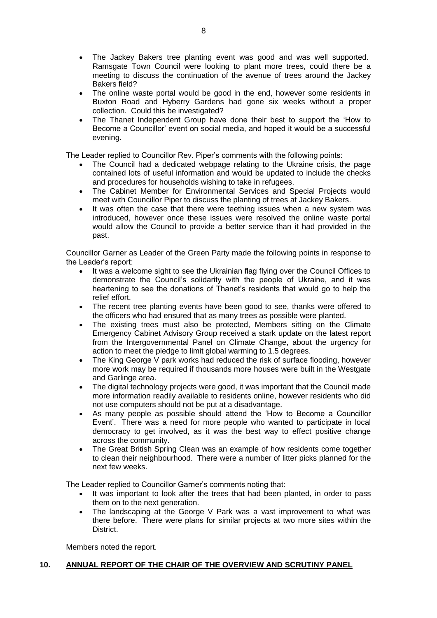- The Jackey Bakers tree planting event was good and was well supported. Ramsgate Town Council were looking to plant more trees, could there be a meeting to discuss the continuation of the avenue of trees around the Jackey Bakers field?
- The online waste portal would be good in the end, however some residents in Buxton Road and Hyberry Gardens had gone six weeks without a proper collection. Could this be investigated?
- The Thanet Independent Group have done their best to support the 'How to Become a Councillor' event on social media, and hoped it would be a successful evening.

The Leader replied to Councillor Rev. Piper's comments with the following points:

- The Council had a dedicated webpage relating to the Ukraine crisis, the page contained lots of useful information and would be updated to include the checks and procedures for households wishing to take in refugees.
- The Cabinet Member for Environmental Services and Special Projects would meet with Councillor Piper to discuss the planting of trees at Jackey Bakers.
- It was often the case that there were teething issues when a new system was introduced, however once these issues were resolved the online waste portal would allow the Council to provide a better service than it had provided in the past.

Councillor Garner as Leader of the Green Party made the following points in response to the Leader's report:

- It was a welcome sight to see the Ukrainian flag flying over the Council Offices to demonstrate the Council's solidarity with the people of Ukraine, and it was heartening to see the donations of Thanet's residents that would go to help the relief effort.
- The recent tree planting events have been good to see, thanks were offered to the officers who had ensured that as many trees as possible were planted.
- The existing trees must also be protected, Members sitting on the Climate Emergency Cabinet Advisory Group received a stark update on the latest report from the Intergovernmental Panel on Climate Change, about the urgency for action to meet the pledge to limit global warming to 1.5 degrees.
- The King George V park works had reduced the risk of surface flooding, however more work may be required if thousands more houses were built in the Westgate and Garlinge area.
- The digital technology projects were good, it was important that the Council made more information readily available to residents online, however residents who did not use computers should not be put at a disadvantage.
- As many people as possible should attend the 'How to Become a Councillor Event'. There was a need for more people who wanted to participate in local democracy to get involved, as it was the best way to effect positive change across the community.
- The Great British Spring Clean was an example of how residents come together to clean their neighbourhood. There were a number of litter picks planned for the next few weeks.

The Leader replied to Councillor Garner's comments noting that:

- It was important to look after the trees that had been planted, in order to pass them on to the next generation.
- The landscaping at the George V Park was a vast improvement to what was there before. There were plans for similar projects at two more sites within the District.

Members noted the report.

## **10. ANNUAL REPORT OF THE CHAIR OF THE OVERVIEW AND SCRUTINY PANEL**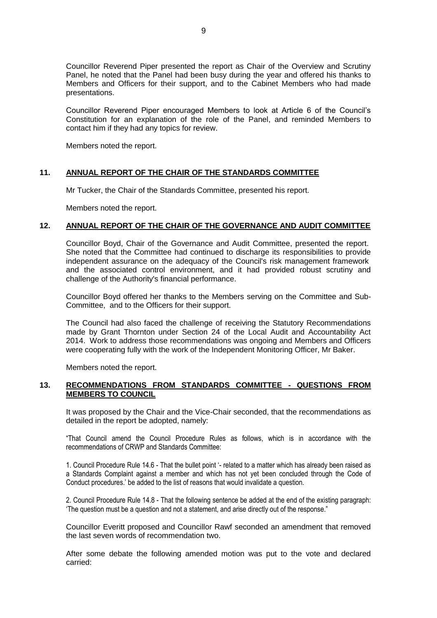Councillor Reverend Piper presented the report as Chair of the Overview and Scrutiny Panel, he noted that the Panel had been busy during the year and offered his thanks to Members and Officers for their support, and to the Cabinet Members who had made presentations.

Councillor Reverend Piper encouraged Members to look at Article 6 of the Council's Constitution for an explanation of the role of the Panel, and reminded Members to contact him if they had any topics for review.

Members noted the report.

## **11. ANNUAL REPORT OF THE CHAIR OF THE STANDARDS COMMITTEE**

Mr Tucker, the Chair of the Standards Committee, presented his report.

Members noted the report.

## **12. ANNUAL REPORT OF THE CHAIR OF THE GOVERNANCE AND AUDIT COMMITTEE**

Councillor Boyd, Chair of the Governance and Audit Committee, presented the report. She noted that the Committee had continued to discharge its responsibilities to provide independent assurance on the adequacy of the Council's risk management framework and the associated control environment, and it had provided robust scrutiny and challenge of the Authority's financial performance.

Councillor Boyd offered her thanks to the Members serving on the Committee and Sub-Committee, and to the Officers for their support.

The Council had also faced the challenge of receiving the Statutory Recommendations made by Grant Thornton under Section 24 of the Local Audit and Accountability Act 2014. Work to address those recommendations was ongoing and Members and Officers were cooperating fully with the work of the Independent Monitoring Officer, Mr Baker.

Members noted the report.

#### **13. RECOMMENDATIONS FROM STANDARDS COMMITTEE - QUESTIONS FROM MEMBERS TO COUNCIL**

It was proposed by the Chair and the Vice-Chair seconded, that the recommendations as detailed in the report be adopted, namely:

"That Council amend the Council Procedure Rules as follows, which is in accordance with the recommendations of CRWP and Standards Committee:

1. Council Procedure Rule 14.6 - That the bullet point '- related to a matter which has already been raised as a Standards Complaint against a member and which has not yet been concluded through the Code of Conduct procedures.' be added to the list of reasons that would invalidate a question.

2. Council Procedure Rule 14.8 - That the following sentence be added at the end of the existing paragraph: 'The question must be a question and not a statement, and arise directly out of the response."

Councillor Everitt proposed and Councillor Rawf seconded an amendment that removed the last seven words of recommendation two.

After some debate the following amended motion was put to the vote and declared carried: